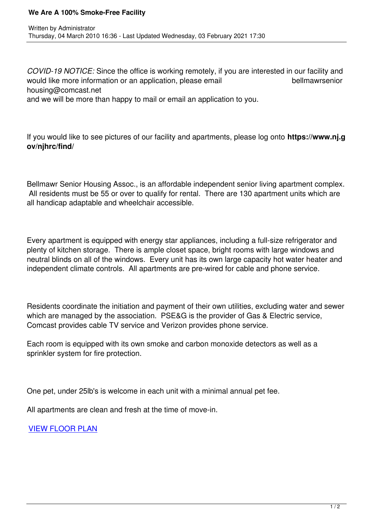*COVID-19 NOTICE:* Since the office is working remotely, if you are interested in our facility and would like more information or an application, please email **bellmawrsenior** housing@comcast.net and we will be more than happy to mail or email an application to you.

If you would like to see pictures of our facility and apartments, please log onto **https://www.nj.g ov/njhrc/find/**

Bellmawr Senior Housing Assoc., is an affordable independent senior living apartment complex. All residents must be 55 or over to qualify for rental. There are 130 apartment units which are all handicap adaptable and wheelchair accessible.

Every apartment is equipped with energy star appliances, including a full-size refrigerator and plenty of kitchen storage. There is ample closet space, bright rooms with large windows and neutral blinds on all of the windows. Every unit has its own large capacity hot water heater and independent climate controls. All apartments are pre-wired for cable and phone service.

Residents coordinate the initiation and payment of their own utilities, excluding water and sewer which are managed by the association. PSE&G is the provider of Gas & Electric service, Comcast provides cable TV service and Verizon provides phone service.

Each room is equipped with its own smoke and carbon monoxide detectors as well as a sprinkler system for fire protection.

One pet, under 25lb's is welcome in each unit with a minimal annual pet fee.

All apartments are clean and fresh at the time of move-in.

VIEW FLOOR PLAN